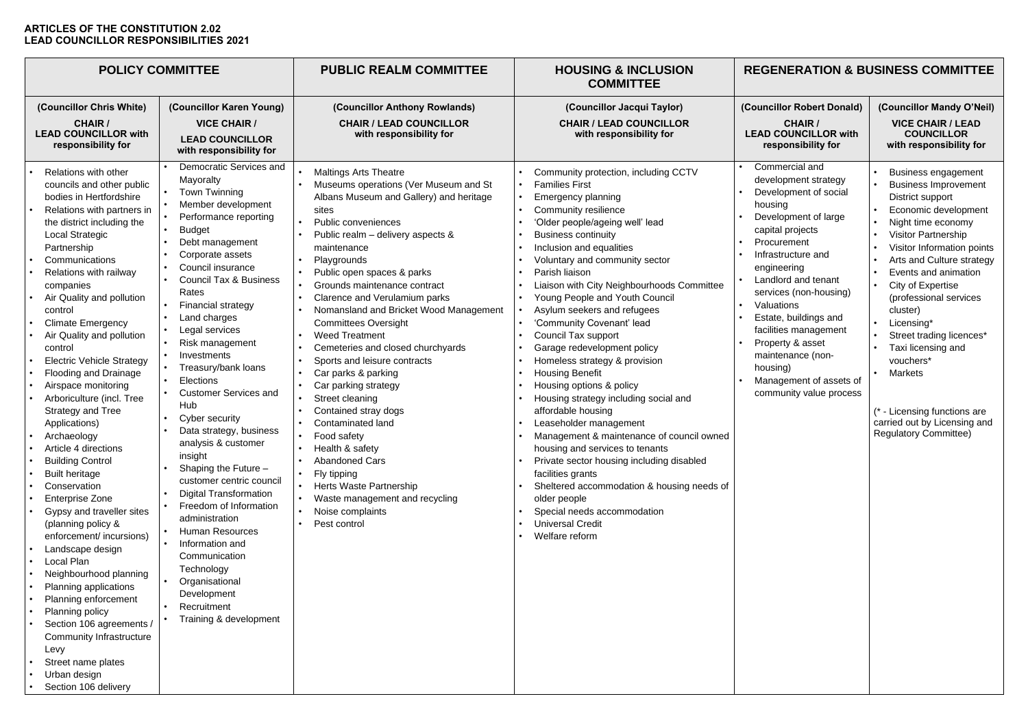## **ARTICLES OF THE CONSTITUTION 2.02 LEAD COUNCILLOR RESPONSIBILITIES 2021**

| <b>POLICY COMMITTEE</b>                                                                                                                                                                                                                                                                                                                                                                                                                                                                                                                                                                                                                                                                                                                                                                                                                                                                                                                                                                                |                                                                                                                                                                                                                                                                                                                                                                                                                                                                                                                                                                                                                                                                                                                                                                                       | <b>PUBLIC REALM COMMITTEE</b>                                                                                                                                                                                                                                                                                                                                                                                                                                                                                                                                                                                                                                                                                                                                                       | <b>HOUSING &amp; INCLUSION</b><br><b>COMMITTEE</b>                                                                                                                                                                                                                                                                                                                                                                                                                                                                                                                                                                                                                                                                                                                                                                                                                                                                                                | <b>REGENERATION &amp; BUSINESS COMMITTEE</b>                                                                                                                                                                                                                                                                                                                                                           |                                                                                                                                                                                                                                                                                                                                                                                                                                                                                                 |
|--------------------------------------------------------------------------------------------------------------------------------------------------------------------------------------------------------------------------------------------------------------------------------------------------------------------------------------------------------------------------------------------------------------------------------------------------------------------------------------------------------------------------------------------------------------------------------------------------------------------------------------------------------------------------------------------------------------------------------------------------------------------------------------------------------------------------------------------------------------------------------------------------------------------------------------------------------------------------------------------------------|---------------------------------------------------------------------------------------------------------------------------------------------------------------------------------------------------------------------------------------------------------------------------------------------------------------------------------------------------------------------------------------------------------------------------------------------------------------------------------------------------------------------------------------------------------------------------------------------------------------------------------------------------------------------------------------------------------------------------------------------------------------------------------------|-------------------------------------------------------------------------------------------------------------------------------------------------------------------------------------------------------------------------------------------------------------------------------------------------------------------------------------------------------------------------------------------------------------------------------------------------------------------------------------------------------------------------------------------------------------------------------------------------------------------------------------------------------------------------------------------------------------------------------------------------------------------------------------|---------------------------------------------------------------------------------------------------------------------------------------------------------------------------------------------------------------------------------------------------------------------------------------------------------------------------------------------------------------------------------------------------------------------------------------------------------------------------------------------------------------------------------------------------------------------------------------------------------------------------------------------------------------------------------------------------------------------------------------------------------------------------------------------------------------------------------------------------------------------------------------------------------------------------------------------------|--------------------------------------------------------------------------------------------------------------------------------------------------------------------------------------------------------------------------------------------------------------------------------------------------------------------------------------------------------------------------------------------------------|-------------------------------------------------------------------------------------------------------------------------------------------------------------------------------------------------------------------------------------------------------------------------------------------------------------------------------------------------------------------------------------------------------------------------------------------------------------------------------------------------|
| (Councillor Chris White)<br><b>CHAIR /</b><br><b>LEAD COUNCILLOR with</b><br>responsibility for                                                                                                                                                                                                                                                                                                                                                                                                                                                                                                                                                                                                                                                                                                                                                                                                                                                                                                        | (Councillor Karen Young)<br><b>VICE CHAIR /</b><br><b>LEAD COUNCILLOR</b><br>with responsibility for                                                                                                                                                                                                                                                                                                                                                                                                                                                                                                                                                                                                                                                                                  | (Councillor Anthony Rowlands)<br><b>CHAIR / LEAD COUNCILLOR</b><br>with responsibility for                                                                                                                                                                                                                                                                                                                                                                                                                                                                                                                                                                                                                                                                                          | (Councillor Jacqui Taylor)<br><b>CHAIR / LEAD COUNCILLOR</b><br>with responsibility for                                                                                                                                                                                                                                                                                                                                                                                                                                                                                                                                                                                                                                                                                                                                                                                                                                                           | (Councillor Robert Donald)<br><b>CHAIR /</b><br><b>LEAD COUNCILLOR with</b><br>responsibility for                                                                                                                                                                                                                                                                                                      | (Councillor Mandy O'Neil)<br><b>VICE CHAIR / LEAD</b><br><b>COUNCILLOR</b><br>with responsibility for                                                                                                                                                                                                                                                                                                                                                                                           |
| Relations with other<br>councils and other public<br>bodies in Hertfordshire<br>Relations with partners in<br>the district including the<br>Local Strategic<br>Partnership<br>Communications<br>Relations with railway<br>companies<br>Air Quality and pollution<br>control<br><b>Climate Emergency</b><br>Air Quality and pollution<br>control<br><b>Electric Vehicle Strategy</b><br><b>Flooding and Drainage</b><br>Airspace monitoring<br>Arboriculture (incl. Tree<br><b>Strategy and Tree</b><br>Applications)<br>Archaeology<br>Article 4 directions<br><b>Building Control</b><br><b>Built heritage</b><br>Conservation<br><b>Enterprise Zone</b><br>Gypsy and traveller sites<br>(planning policy &<br>enforcement/ incursions)<br>Landscape design<br>Local Plan<br>Neighbourhood planning<br>Planning applications<br>Planning enforcement<br>Planning policy<br>Section 106 agreements /<br>Community Infrastructure<br>Levy<br>Street name plates<br>Urban design<br>Section 106 delivery | Democratic Services and<br>Mayoralty<br>Town Twinning<br>Member development<br>Performance reporting<br><b>Budget</b><br>Debt management<br>Corporate assets<br>Council insurance<br><b>Council Tax &amp; Business</b><br>Rates<br><b>Financial strategy</b><br>Land charges<br>• Legal services<br>Risk management<br>Investments<br>Treasury/bank loans<br>Elections<br><b>Customer Services and</b><br>Hub<br>Cyber security<br>Data strategy, business<br>analysis & customer<br>insight<br>Shaping the Future $-$<br>customer centric council<br><b>Digital Transformation</b><br>Freedom of Information<br>administration<br><b>Human Resources</b><br>Information and<br>Communication<br>Technology<br>Organisational<br>Development<br>Recruitment<br>Training & development | <b>Maltings Arts Theatre</b><br>Museums operations (Ver Museum and St<br>Albans Museum and Gallery) and heritage<br>sites<br>Public conveniences<br>Public realm - delivery aspects &<br>maintenance<br>Playgrounds<br>Public open spaces & parks<br>Grounds maintenance contract<br>Clarence and Verulamium parks<br>Nomansland and Bricket Wood Management<br><b>Committees Oversight</b><br><b>Weed Treatment</b><br>Cemeteries and closed churchyards<br>Sports and leisure contracts<br>Car parks & parking<br>Car parking strategy<br>Street cleaning<br>Contained stray dogs<br>Contaminated land<br>Food safety<br>Health & safety<br><b>Abandoned Cars</b><br>Fly tipping<br>Herts Waste Partnership<br>Waste management and recycling<br>Noise complaints<br>Pest control | Community protection, including CCTV<br><b>Families First</b><br><b>Emergency planning</b><br>Community resilience<br>'Older people/ageing well' lead<br><b>Business continuity</b><br>Inclusion and equalities<br>Voluntary and community sector<br>Parish liaison<br>Liaison with City Neighbourhoods Committee<br>Young People and Youth Council<br>Asylum seekers and refugees<br>'Community Covenant' lead<br>Council Tax support<br>Garage redevelopment policy<br>Homeless strategy & provision<br><b>Housing Benefit</b><br>Housing options & policy<br>Housing strategy including social and<br>affordable housing<br>Leaseholder management<br>Management & maintenance of council owned<br>housing and services to tenants<br>Private sector housing including disabled<br>facilities grants<br>Sheltered accommodation & housing needs of<br>older people<br>Special needs accommodation<br><b>Universal Credit</b><br>Welfare reform | Commercial and<br>development strategy<br>Development of social<br>housing<br>Development of large<br>capital projects<br>Procurement<br>Infrastructure and<br>engineering<br>Landlord and tenant<br>services (non-housing)<br>Valuations<br>Estate, buildings and<br>facilities management<br>Property & asset<br>maintenance (non-<br>housing)<br>Management of assets of<br>community value process | <b>Business engagement</b><br><b>Business Improvement</b><br>District support<br>Economic development<br>Night time economy<br>Visitor Partnership<br>Visitor Information points<br>Arts and Culture strategy<br>Events and animation<br>City of Expertise<br>(professional services<br>cluster)<br>Licensing*<br>Street trading licences*<br>Taxi licensing and<br>vouchers*<br><b>Markets</b><br>(* - Licensing functions are<br>carried out by Licensing and<br><b>Regulatory Committee)</b> |